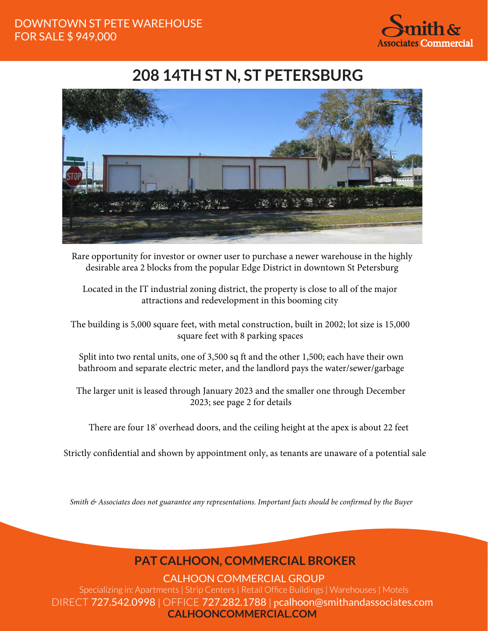

## **208 14TH ST N, ST PETERSBURG**



Rare opportunity for investor or owner user to purchase a newer warehouse in the highly desirable area 2 blocks from the popular Edge District in downtown St Petersburg

Located in the IT industrial zoning district, the property is close to all of the major attractions and redevelopment in this booming city

The building is 5,000 square feet, with metal construction, built in 2002; lot size is 15,000 square feet with 8 parking spaces

Split into two rental units, one of 3,500 sq ft and the other 1,500; each have their own bathroom and separate electric meter, and the landlord pays the water/sewer/garbage

The larger unit is leased through January 2023 and the smaller one through December 2023; see page 2 for details

There are four 18' overhead doors, and the ceiling height at the apex is about 22 feet

Strictly confidential and shown by appointment only, as tenants are unaware of a potential sale

*Smith & Associates does not guarantee any representations. Important facts should be confirmed by the Buyer*

## **PAT CALHOON, COMMERCIAL BROKER**

CALHOON COMMERCIAL GROUP

Specializing in: Apartments | Strip Centers | Retail Office Buildings | Warehouses | Motels DIRECT 727.542.0998 | OFFICE 727.282.1788 | pcalhoon@smithandassociates.com **CALHOONCOMMERCIAL.COM**